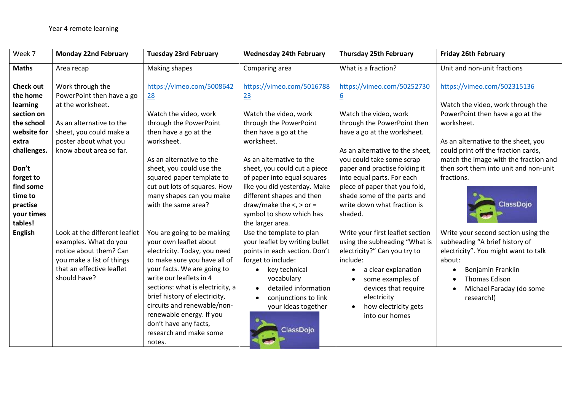| Week 7                                                                                | <b>Monday 22nd February</b>                                                                                                                                | <b>Tuesday 23rd February</b>                                                                                                                                                                                                                                                                                                                                                | <b>Wednesday 24th February</b>                                                                                                                                                                                                                                 | <b>Thursday 25th February</b>                                                                                                                                                                                                                                    | <b>Friday 26th February</b>                                                                                                                                                                                                  |
|---------------------------------------------------------------------------------------|------------------------------------------------------------------------------------------------------------------------------------------------------------|-----------------------------------------------------------------------------------------------------------------------------------------------------------------------------------------------------------------------------------------------------------------------------------------------------------------------------------------------------------------------------|----------------------------------------------------------------------------------------------------------------------------------------------------------------------------------------------------------------------------------------------------------------|------------------------------------------------------------------------------------------------------------------------------------------------------------------------------------------------------------------------------------------------------------------|------------------------------------------------------------------------------------------------------------------------------------------------------------------------------------------------------------------------------|
| <b>Maths</b>                                                                          | Area recap                                                                                                                                                 | Making shapes                                                                                                                                                                                                                                                                                                                                                               | Comparing area                                                                                                                                                                                                                                                 | What is a fraction?                                                                                                                                                                                                                                              | Unit and non-unit fractions                                                                                                                                                                                                  |
| <b>Check out</b><br>the home<br>learning                                              | Work through the<br>PowerPoint then have a go<br>at the worksheet.                                                                                         | https://vimeo.com/5008642<br>28                                                                                                                                                                                                                                                                                                                                             | https://vimeo.com/5016788<br>23                                                                                                                                                                                                                                | https://vimeo.com/50252730<br>$\underline{6}$                                                                                                                                                                                                                    | https://vimeo.com/502315136<br>Watch the video, work through the                                                                                                                                                             |
| section on<br>the school<br>website for<br>extra<br>challenges.<br>Don't<br>forget to | As an alternative to the<br>sheet, you could make a<br>poster about what you<br>know about area so far.                                                    | Watch the video, work<br>through the PowerPoint<br>then have a go at the<br>worksheet.<br>As an alternative to the<br>sheet, you could use the<br>squared paper template to                                                                                                                                                                                                 | Watch the video, work<br>through the PowerPoint<br>then have a go at the<br>worksheet.<br>As an alternative to the<br>sheet, you could cut a piece<br>of paper into equal squares                                                                              | Watch the video, work<br>through the PowerPoint then<br>have a go at the worksheet.<br>As an alternative to the sheet,<br>you could take some scrap<br>paper and practise folding it<br>into equal parts. For each                                               | PowerPoint then have a go at the<br>worksheet.<br>As an alternative to the sheet, you<br>could print off the fraction cards,<br>match the image with the fraction and<br>then sort them into unit and non-unit<br>fractions. |
| find some<br>time to<br>practise<br>your times<br>tables!                             |                                                                                                                                                            | cut out lots of squares. How<br>many shapes can you make<br>with the same area?                                                                                                                                                                                                                                                                                             | like you did yesterday. Make<br>different shapes and then<br>draw/make the $\lt$ , $>$ or =<br>symbol to show which has<br>the larger area.                                                                                                                    | piece of paper that you fold,<br>shade some of the parts and<br>write down what fraction is<br>shaded.                                                                                                                                                           | <b>ClassDojo</b>                                                                                                                                                                                                             |
| <b>English</b>                                                                        | Look at the different leaflet<br>examples. What do you<br>notice about them? Can<br>you make a list of things<br>that an effective leaflet<br>should have? | You are going to be making<br>your own leaflet about<br>electricity. Today, you need<br>to make sure you have all of<br>your facts. We are going to<br>write our leaflets in 4<br>sections: what is electricity, a<br>brief history of electricity,<br>circuits and renewable/non-<br>renewable energy. If you<br>don't have any facts,<br>research and make some<br>notes. | Use the template to plan<br>your leaflet by writing bullet<br>points in each section. Don't<br>forget to include:<br>key technical<br>$\bullet$<br>vocabulary<br>detailed information<br>conjunctions to link<br>$\bullet$<br>your ideas together<br>ClassDojo | Write your first leaflet section<br>using the subheading "What is<br>electricity?" Can you try to<br>include:<br>a clear explanation<br>٠<br>some examples of<br>٠<br>devices that require<br>electricity<br>how electricity gets<br>$\bullet$<br>into our homes | Write your second section using the<br>subheading "A brief history of<br>electricity". You might want to talk<br>about:<br>Benjamin Franklin<br><b>Thomas Edison</b><br>Michael Faraday (do some<br>research!)               |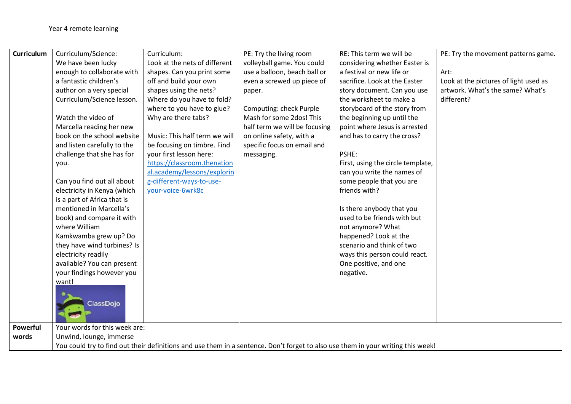| <b>Curriculum</b> | Curriculum/Science:                                                                                                              | Curriculum:                   | PE: Try the living room       | RE: This term we will be          | PE: Try the movement patterns game.   |  |  |
|-------------------|----------------------------------------------------------------------------------------------------------------------------------|-------------------------------|-------------------------------|-----------------------------------|---------------------------------------|--|--|
|                   | We have been lucky                                                                                                               | Look at the nets of different | volleyball game. You could    | considering whether Easter is     |                                       |  |  |
|                   | enough to collaborate with                                                                                                       | shapes. Can you print some    | use a balloon, beach ball or  | a festival or new life or         | Art:                                  |  |  |
|                   | a fantastic children's                                                                                                           | off and build your own        | even a screwed up piece of    | sacrifice. Look at the Easter     | Look at the pictures of light used as |  |  |
|                   | author on a very special                                                                                                         | shapes using the nets?        | paper.                        | story document. Can you use       | artwork. What's the same? What's      |  |  |
|                   | Curriculum/Science lesson.                                                                                                       | Where do you have to fold?    |                               | the worksheet to make a           | different?                            |  |  |
|                   |                                                                                                                                  | where to you have to glue?    | Computing: check Purple       | storyboard of the story from      |                                       |  |  |
|                   | Watch the video of                                                                                                               | Why are there tabs?           | Mash for some 2dos! This      | the beginning up until the        |                                       |  |  |
|                   | Marcella reading her new                                                                                                         |                               | half term we will be focusing | point where Jesus is arrested     |                                       |  |  |
|                   | book on the school website                                                                                                       | Music: This half term we will | on online safety, with a      | and has to carry the cross?       |                                       |  |  |
|                   | and listen carefully to the                                                                                                      | be focusing on timbre. Find   | specific focus on email and   |                                   |                                       |  |  |
|                   | challenge that she has for                                                                                                       | your first lesson here:       | messaging.                    | PSHE:                             |                                       |  |  |
|                   | you.                                                                                                                             | https://classroom.thenation   |                               | First, using the circle template, |                                       |  |  |
|                   |                                                                                                                                  | al.academy/lessons/explorin   |                               | can you write the names of        |                                       |  |  |
|                   | Can you find out all about                                                                                                       | g-different-ways-to-use-      |                               | some people that you are          |                                       |  |  |
|                   | electricity in Kenya (which                                                                                                      | your-voice-6wrk8c             |                               | friends with?                     |                                       |  |  |
|                   | is a part of Africa that is                                                                                                      |                               |                               |                                   |                                       |  |  |
|                   | mentioned in Marcella's                                                                                                          |                               |                               | Is there anybody that you         |                                       |  |  |
|                   | book) and compare it with                                                                                                        |                               |                               | used to be friends with but       |                                       |  |  |
|                   | where William                                                                                                                    |                               |                               | not anymore? What                 |                                       |  |  |
|                   | Kamkwamba grew up? Do                                                                                                            |                               |                               | happened? Look at the             |                                       |  |  |
|                   | they have wind turbines? Is                                                                                                      |                               |                               | scenario and think of two         |                                       |  |  |
|                   | electricity readily                                                                                                              |                               |                               | ways this person could react.     |                                       |  |  |
|                   | available? You can present                                                                                                       |                               |                               | One positive, and one             |                                       |  |  |
|                   | your findings however you<br>want!                                                                                               |                               |                               | negative.                         |                                       |  |  |
|                   |                                                                                                                                  |                               |                               |                                   |                                       |  |  |
|                   |                                                                                                                                  |                               |                               |                                   |                                       |  |  |
|                   | <b>ClassDojo</b>                                                                                                                 |                               |                               |                                   |                                       |  |  |
|                   |                                                                                                                                  |                               |                               |                                   |                                       |  |  |
| Powerful          | Your words for this week are:                                                                                                    |                               |                               |                                   |                                       |  |  |
| words             | Unwind, lounge, immerse                                                                                                          |                               |                               |                                   |                                       |  |  |
|                   | You could try to find out their definitions and use them in a sentence. Don't forget to also use them in your writing this week! |                               |                               |                                   |                                       |  |  |